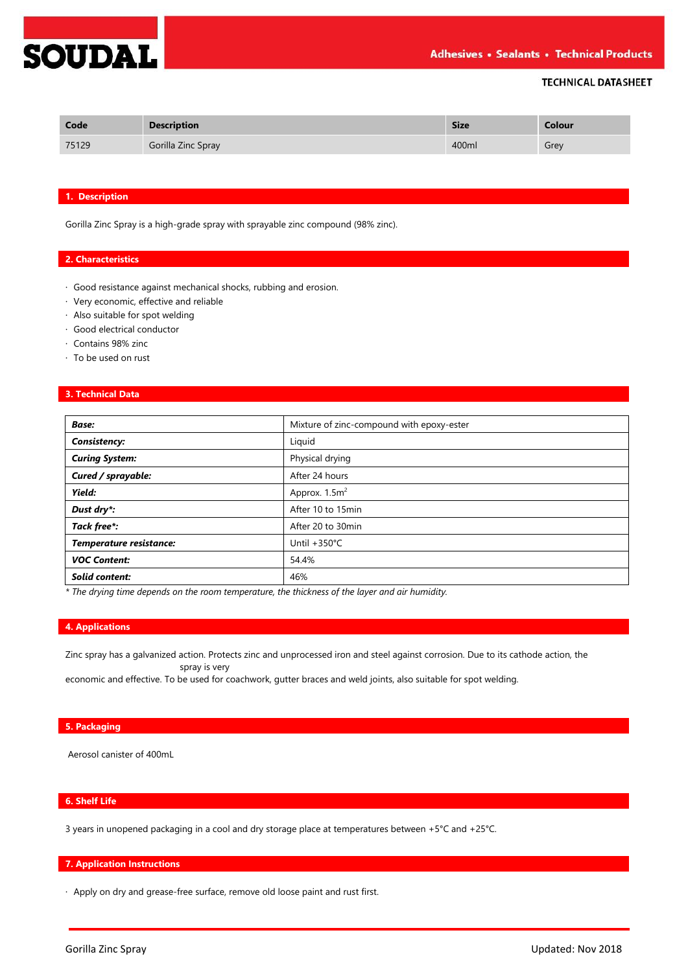## **TECHNICAL DATASHEET**

| Code  | <b>Description</b> | <b>Size</b> | Colour |
|-------|--------------------|-------------|--------|
| 75129 | Gorilla Zinc Spray | 400ml       | Grey   |

#### **1. Description**

**SOUDAL** 

Gorilla Zinc Spray is a high-grade spray with sprayable zinc compound (98% zinc).

### **2. Characteristics**

- · Good resistance against mechanical shocks, rubbing and erosion.
- · Very economic, effective and reliable
- · Also suitable for spot welding
- · Good electrical conductor
- · Contains 98% zinc
- · To be used on rust

### **3. Technical Data**

| <b>Base:</b>            | Mixture of zinc-compound with epoxy-ester |
|-------------------------|-------------------------------------------|
| <b>Consistency:</b>     | Liquid                                    |
| <b>Curing System:</b>   | Physical drying                           |
| Cured / sprayable:      | After 24 hours                            |
| Yield:                  | Approx. 1.5m <sup>2</sup>                 |
| Dust dry*:              | After 10 to 15min                         |
| Tack free*:             | After 20 to 30min                         |
| Temperature resistance: | Until $+350^{\circ}$ C                    |
| <b>VOC Content:</b>     | 54.4%                                     |
| Solid content:          | 46%                                       |

*\* The drying time depends on the room temperature, the thickness of the layer and air humidity.*

### **4. Applications**

Zinc spray has a galvanized action. Protects zinc and unprocessed iron and steel against corrosion. Due to its cathode action, the spray is very

economic and effective. To be used for coachwork, gutter braces and weld joints, also suitable for spot welding.

## **5. Packaging**

Aerosol canister of 400mL

# **6. Shelf Life**

3 years in unopened packaging in a cool and dry storage place at temperatures between +5°C and +25°C.

### **7. Application Instructions**

· Apply on dry and grease-free surface, remove old loose paint and rust first.